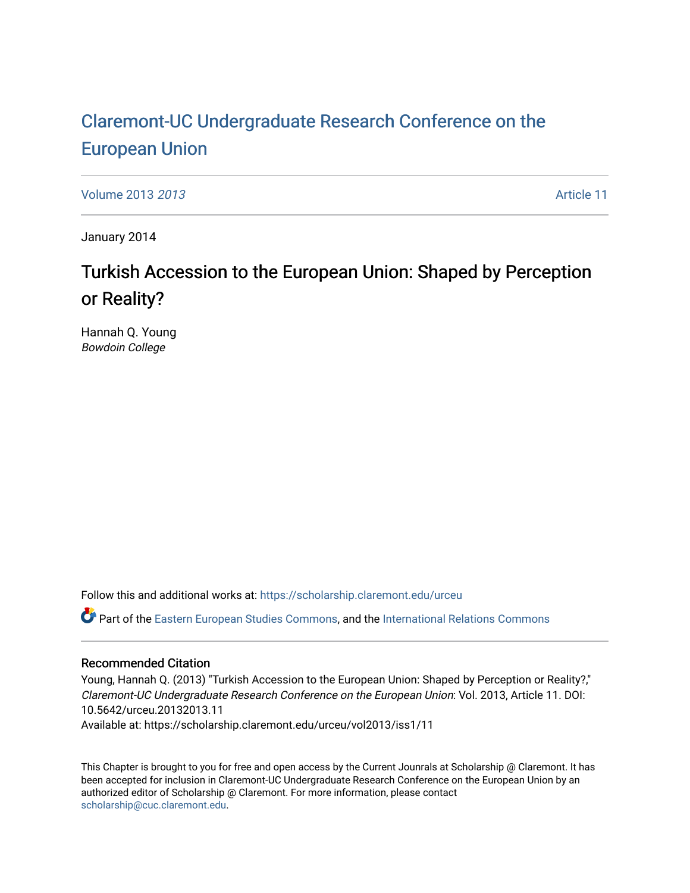# Clar[emont-UC Undergraduate Resear](https://scholarship.claremont.edu/urceu)ch Conference on the [European Union](https://scholarship.claremont.edu/urceu)

[Volume 2013](https://scholarship.claremont.edu/urceu/vol2013) 2013 [Article 11](https://scholarship.claremont.edu/urceu/vol2013/iss1/11) 

January 2014

# Turkish Accession to the European Union: Shaped by Perception or Reality?

Hannah Q. Young Bowdoin College

Follow this and additional works at: [https://scholarship.claremont.edu/urceu](https://scholarship.claremont.edu/urceu?utm_source=scholarship.claremont.edu%2Furceu%2Fvol2013%2Fiss1%2F11&utm_medium=PDF&utm_campaign=PDFCoverPages)

Part of the [Eastern European Studies Commons,](https://network.bepress.com/hgg/discipline/362?utm_source=scholarship.claremont.edu%2Furceu%2Fvol2013%2Fiss1%2F11&utm_medium=PDF&utm_campaign=PDFCoverPages) and the [International Relations Commons](https://network.bepress.com/hgg/discipline/389?utm_source=scholarship.claremont.edu%2Furceu%2Fvol2013%2Fiss1%2F11&utm_medium=PDF&utm_campaign=PDFCoverPages)

# Recommended Citation

Young, Hannah Q. (2013) "Turkish Accession to the European Union: Shaped by Perception or Reality?," Claremont-UC Undergraduate Research Conference on the European Union: Vol. 2013, Article 11. DOI: 10.5642/urceu.20132013.11 Available at: https://scholarship.claremont.edu/urceu/vol2013/iss1/11

This Chapter is brought to you for free and open access by the Current Jounrals at Scholarship @ Claremont. It has been accepted for inclusion in Claremont-UC Undergraduate Research Conference on the European Union by an authorized editor of Scholarship @ Claremont. For more information, please contact [scholarship@cuc.claremont.edu.](mailto:scholarship@cuc.claremont.edu)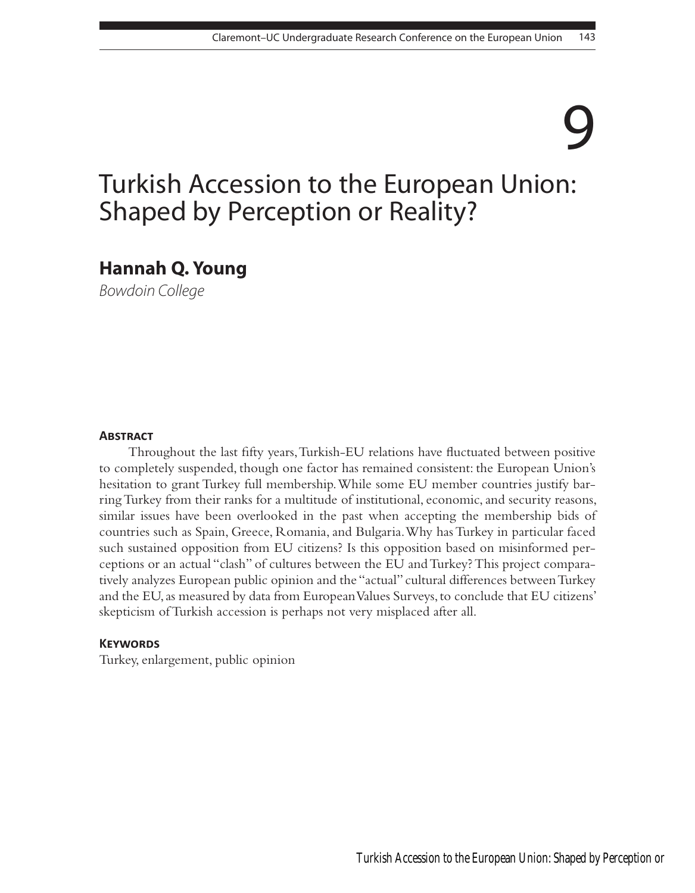# 9

# Turkish Accession to the European Union: Shaped by Perception or Reality?

**Hannah Q. Young**

*Bowdoin College*

#### **Abstract**

Throughout the last fifty years, Turkish-EU relations have fluctuated between positive to completely suspended, though one factor has remained consistent: the European Union's hesitation to grant Turkey full membership. While some EU member countries justify barring Turkey from their ranks for a multitude of institutional, economic, and security reasons, similar issues have been overlooked in the past when accepting the membership bids of countries such as Spain, Greece, Romania, and Bulgaria. Why has Turkey in particular faced such sustained opposition from EU citizens? Is this opposition based on misinformed perceptions or an actual "clash" of cultures between the EU and Turkey? This project comparatively analyzes European public opinion and the "actual" cultural differences between Turkey and the EU, as measured by data from European Values Surveys, to conclude that EU citizens' skepticism of Turkish accession is perhaps not very misplaced after all.

#### **Keywords**

Turkey, enlargement, public opinion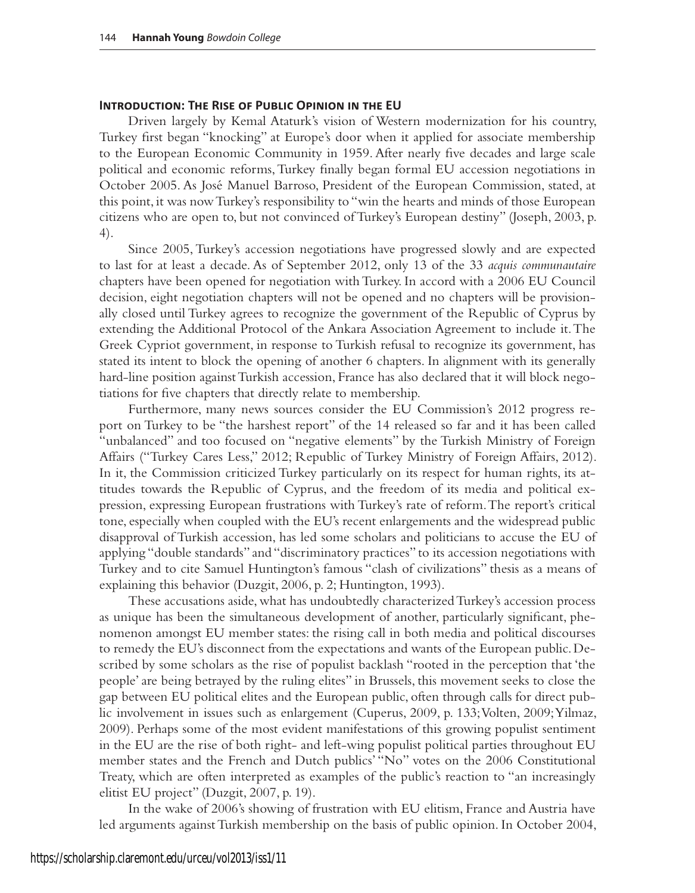#### **Introduction: The Rise of Public Opinion in the EU**

Driven largely by Kemal Ataturk's vision of Western modernization for his country, Turkey first began "knocking" at Europe's door when it applied for associate membership to the European Economic Community in 1959. After nearly five decades and large scale political and economic reforms, Turkey finally began formal EU accession negotiations in October 2005. As José Manuel Barroso, President of the European Commission, stated, at this point, it was now Turkey's responsibility to "win the hearts and minds of those European citizens who are open to, but not convinced of Turkey's European destiny" (Joseph, 2003, p. 4).

Since 2005, Turkey's accession negotiations have progressed slowly and are expected to last for at least a decade. As of September 2012, only 13 of the 33 *acquis communautaire*  chapters have been opened for negotiation with Turkey. In accord with a 2006 EU Council decision, eight negotiation chapters will not be opened and no chapters will be provisionally closed until Turkey agrees to recognize the government of the Republic of Cyprus by extending the Additional Protocol of the Ankara Association Agreement to include it. The Greek Cypriot government, in response to Turkish refusal to recognize its government, has stated its intent to block the opening of another 6 chapters. In alignment with its generally hard-line position against Turkish accession, France has also declared that it will block negotiations for five chapters that directly relate to membership.

Furthermore, many news sources consider the EU Commission's 2012 progress report on Turkey to be "the harshest report" of the 14 released so far and it has been called "unbalanced" and too focused on "negative elements" by the Turkish Ministry of Foreign Affairs ("Turkey Cares Less," 2012; Republic of Turkey Ministry of Foreign Affairs, 2012). In it, the Commission criticized Turkey particularly on its respect for human rights, its attitudes towards the Republic of Cyprus, and the freedom of its media and political expression, expressing European frustrations with Turkey's rate of reform. The report's critical tone, especially when coupled with the EU's recent enlargements and the widespread public disapproval of Turkish accession, has led some scholars and politicians to accuse the EU of applying "double standards" and "discriminatory practices" to its accession negotiations with Turkey and to cite Samuel Huntington's famous "clash of civilizations" thesis as a means of explaining this behavior (Duzgit, 2006, p. 2; Huntington, 1993).

These accusations aside, what has undoubtedly characterized Turkey's accession process as unique has been the simultaneous development of another, particularly significant, phenomenon amongst EU member states: the rising call in both media and political discourses to remedy the EU's disconnect from the expectations and wants of the European public. Described by some scholars as the rise of populist backlash "rooted in the perception that 'the people' are being betrayed by the ruling elites" in Brussels, this movement seeks to close the gap between EU political elites and the European public, often through calls for direct public involvement in issues such as enlargement (Cuperus, 2009, p. 133; Volten, 2009; Yilmaz, 2009). Perhaps some of the most evident manifestations of this growing populist sentiment in the EU are the rise of both right- and left-wing populist political parties throughout EU member states and the French and Dutch publics' "No" votes on the 2006 Constitutional Treaty, which are often interpreted as examples of the public's reaction to "an increasingly elitist EU project" (Duzgit, 2007, p. 19).

In the wake of 2006's showing of frustration with EU elitism, France and Austria have led arguments against Turkish membership on the basis of public opinion. In October 2004,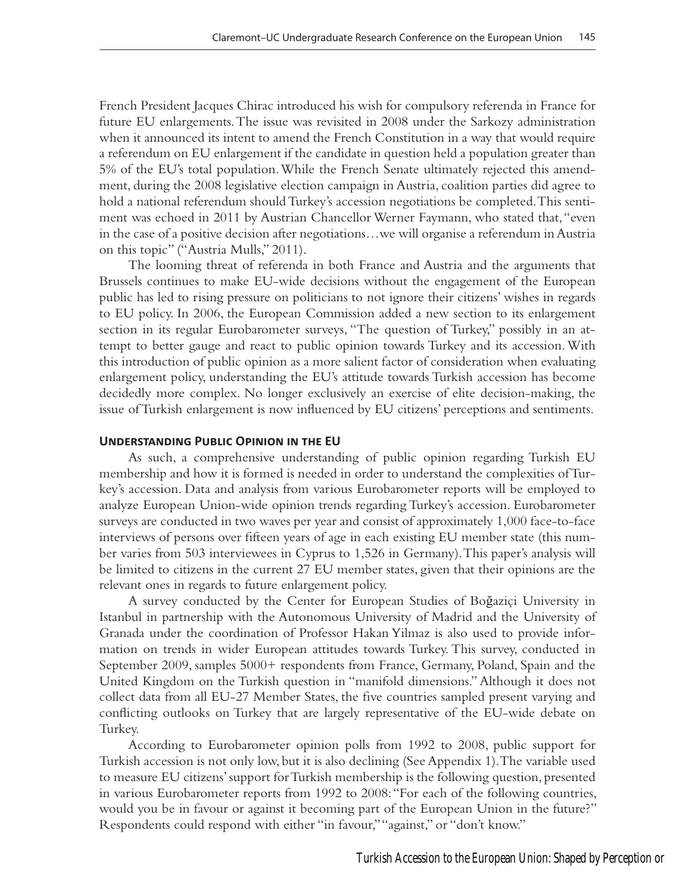French President Jacques Chirac introduced his wish for compulsory referenda in France for future EU enlargements. The issue was revisited in 2008 under the Sarkozy administration when it announced its intent to amend the French Constitution in a way that would require a referendum on EU enlargement if the candidate in question held a population greater than 5% of the EU's total population. While the French Senate ultimately rejected this amendment, during the 2008 legislative election campaign in Austria, coalition parties did agree to hold a national referendum should Turkey's accession negotiations be completed. This sentiment was echoed in 2011 by Austrian Chancellor Werner Faymann, who stated that, "even in the case of a positive decision after negotiations…we will organise a referendum in Austria on this topic" ("Austria Mulls," 2011).

The looming threat of referenda in both France and Austria and the arguments that Brussels continues to make EU-wide decisions without the engagement of the European public has led to rising pressure on politicians to not ignore their citizens' wishes in regards to EU policy. In 2006, the European Commission added a new section to its enlargement section in its regular Eurobarometer surveys, "The question of Turkey," possibly in an attempt to better gauge and react to public opinion towards Turkey and its accession. With this introduction of public opinion as a more salient factor of consideration when evaluating enlargement policy, understanding the EU's attitude towards Turkish accession has become decidedly more complex. No longer exclusively an exercise of elite decision-making, the issue of Turkish enlargement is now influenced by EU citizens' perceptions and sentiments.

#### **Understanding Public Opinion in the EU**

As such, a comprehensive understanding of public opinion regarding Turkish EU membership and how it is formed is needed in order to understand the complexities of Turkey's accession. Data and analysis from various Eurobarometer reports will be employed to analyze European Union-wide opinion trends regarding Turkey's accession. Eurobarometer surveys are conducted in two waves per year and consist of approximately 1,000 face-to-face interviews of persons over fifteen years of age in each existing EU member state (this number varies from 503 interviewees in Cyprus to 1,526 in Germany). This paper's analysis will be limited to citizens in the current 27 EU member states, given that their opinions are the relevant ones in regards to future enlargement policy.

A survey conducted by the Center for European Studies of Boğaziçi University in Istanbul in partnership with the Autonomous University of Madrid and the University of Granada under the coordination of Professor Hakan Yilmaz is also used to provide information on trends in wider European attitudes towards Turkey. This survey, conducted in September 2009, samples 5000+ respondents from France, Germany, Poland, Spain and the United Kingdom on the Turkish question in "manifold dimensions." Although it does not collect data from all EU-27 Member States, the five countries sampled present varying and conflicting outlooks on Turkey that are largely representative of the EU-wide debate on Turkey.

According to Eurobarometer opinion polls from 1992 to 2008, public support for Turkish accession is not only low, but it is also declining (See Appendix 1). The variable used to measure EU citizens' support for Turkish membership is the following question, presented in various Eurobarometer reports from 1992 to 2008: "For each of the following countries, would you be in favour or against it becoming part of the European Union in the future?" Respondents could respond with either "in favour," "against," or "don't know."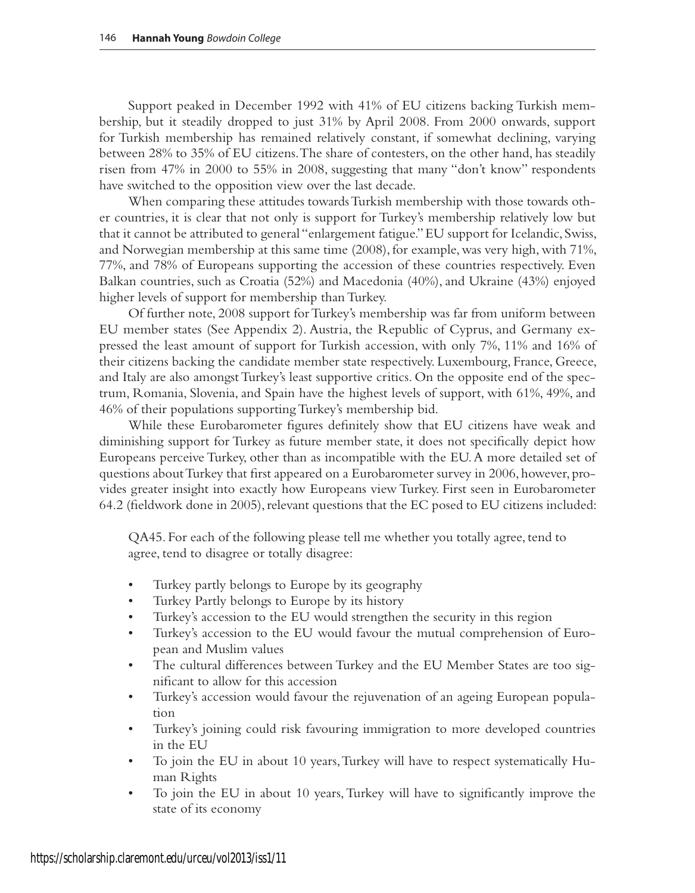Support peaked in December 1992 with 41% of EU citizens backing Turkish membership, but it steadily dropped to just 31% by April 2008. From 2000 onwards, support for Turkish membership has remained relatively constant, if somewhat declining, varying between 28% to 35% of EU citizens. The share of contesters, on the other hand, has steadily risen from 47% in 2000 to 55% in 2008, suggesting that many "don't know" respondents have switched to the opposition view over the last decade.

When comparing these attitudes towards Turkish membership with those towards other countries, it is clear that not only is support for Turkey's membership relatively low but that it cannot be attributed to general "enlargement fatigue." EU support for Icelandic, Swiss, and Norwegian membership at this same time (2008), for example, was very high, with 71%, 77%, and 78% of Europeans supporting the accession of these countries respectively. Even Balkan countries, such as Croatia (52%) and Macedonia (40%), and Ukraine (43%) enjoyed higher levels of support for membership than Turkey.

Of further note, 2008 support for Turkey's membership was far from uniform between EU member states (See Appendix 2). Austria, the Republic of Cyprus, and Germany expressed the least amount of support for Turkish accession, with only 7%, 11% and 16% of their citizens backing the candidate member state respectively. Luxembourg, France, Greece, and Italy are also amongst Turkey's least supportive critics. On the opposite end of the spectrum, Romania, Slovenia, and Spain have the highest levels of support, with 61%, 49%, and 46% of their populations supporting Turkey's membership bid.

While these Eurobarometer figures definitely show that EU citizens have weak and diminishing support for Turkey as future member state, it does not specifically depict how Europeans perceive Turkey, other than as incompatible with the EU. A more detailed set of questions about Turkey that first appeared on a Eurobarometer survey in 2006, however, provides greater insight into exactly how Europeans view Turkey. First seen in Eurobarometer 64.2 (fieldwork done in 2005), relevant questions that the EC posed to EU citizens included:

QA45. For each of the following please tell me whether you totally agree, tend to agree, tend to disagree or totally disagree:

- Turkey partly belongs to Europe by its geography
- Turkey Partly belongs to Europe by its history
- Turkey's accession to the EU would strengthen the security in this region
- Turkey's accession to the EU would favour the mutual comprehension of European and Muslim values
- The cultural differences between Turkey and the EU Member States are too significant to allow for this accession
- Turkey's accession would favour the rejuvenation of an ageing European population
- Turkey's joining could risk favouring immigration to more developed countries in the EU
- To join the EU in about 10 years, Turkey will have to respect systematically Human Rights
- To join the EU in about 10 years, Turkey will have to significantly improve the state of its economy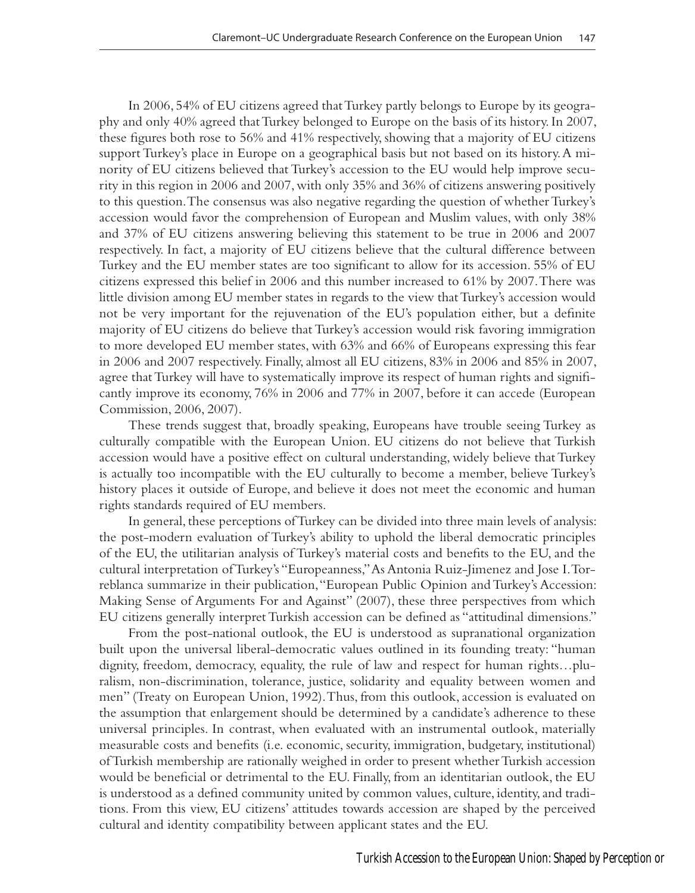In 2006, 54% of EU citizens agreed that Turkey partly belongs to Europe by its geography and only 40% agreed that Turkey belonged to Europe on the basis of its history. In 2007, these figures both rose to 56% and 41% respectively, showing that a majority of EU citizens support Turkey's place in Europe on a geographical basis but not based on its history. A minority of EU citizens believed that Turkey's accession to the EU would help improve security in this region in 2006 and 2007, with only 35% and 36% of citizens answering positively to this question. The consensus was also negative regarding the question of whether Turkey's accession would favor the comprehension of European and Muslim values, with only 38% and 37% of EU citizens answering believing this statement to be true in 2006 and 2007 respectively. In fact, a majority of EU citizens believe that the cultural difference between Turkey and the EU member states are too significant to allow for its accession. 55% of EU citizens expressed this belief in 2006 and this number increased to 61% by 2007. There was little division among EU member states in regards to the view that Turkey's accession would not be very important for the rejuvenation of the EU's population either, but a definite majority of EU citizens do believe that Turkey's accession would risk favoring immigration to more developed EU member states, with 63% and 66% of Europeans expressing this fear in 2006 and 2007 respectively. Finally, almost all EU citizens, 83% in 2006 and 85% in 2007, agree that Turkey will have to systematically improve its respect of human rights and significantly improve its economy, 76% in 2006 and 77% in 2007, before it can accede (European Commission, 2006, 2007).

These trends suggest that, broadly speaking, Europeans have trouble seeing Turkey as culturally compatible with the European Union. EU citizens do not believe that Turkish accession would have a positive effect on cultural understanding, widely believe that Turkey is actually too incompatible with the EU culturally to become a member, believe Turkey's history places it outside of Europe, and believe it does not meet the economic and human rights standards required of EU members.

In general, these perceptions of Turkey can be divided into three main levels of analysis: the post-modern evaluation of Turkey's ability to uphold the liberal democratic principles of the EU, the utilitarian analysis of Turkey's material costs and benefits to the EU, and the cultural interpretation of Turkey's "Europeanness," As Antonia Ruiz-Jimenez and Jose I. Torreblanca summarize in their publication, "European Public Opinion and Turkey's Accession: Making Sense of Arguments For and Against" (2007), these three perspectives from which EU citizens generally interpret Turkish accession can be defined as "attitudinal dimensions."

From the post-national outlook, the EU is understood as supranational organization built upon the universal liberal-democratic values outlined in its founding treaty: "human dignity, freedom, democracy, equality, the rule of law and respect for human rights…pluralism, non-discrimination, tolerance, justice, solidarity and equality between women and men" (Treaty on European Union, 1992). Thus, from this outlook, accession is evaluated on the assumption that enlargement should be determined by a candidate's adherence to these universal principles. In contrast, when evaluated with an instrumental outlook, materially measurable costs and benefits (i.e. economic, security, immigration, budgetary, institutional) of Turkish membership are rationally weighed in order to present whether Turkish accession would be beneficial or detrimental to the EU. Finally, from an identitarian outlook, the EU is understood as a defined community united by common values, culture, identity, and traditions. From this view, EU citizens' attitudes towards accession are shaped by the perceived cultural and identity compatibility between applicant states and the EU.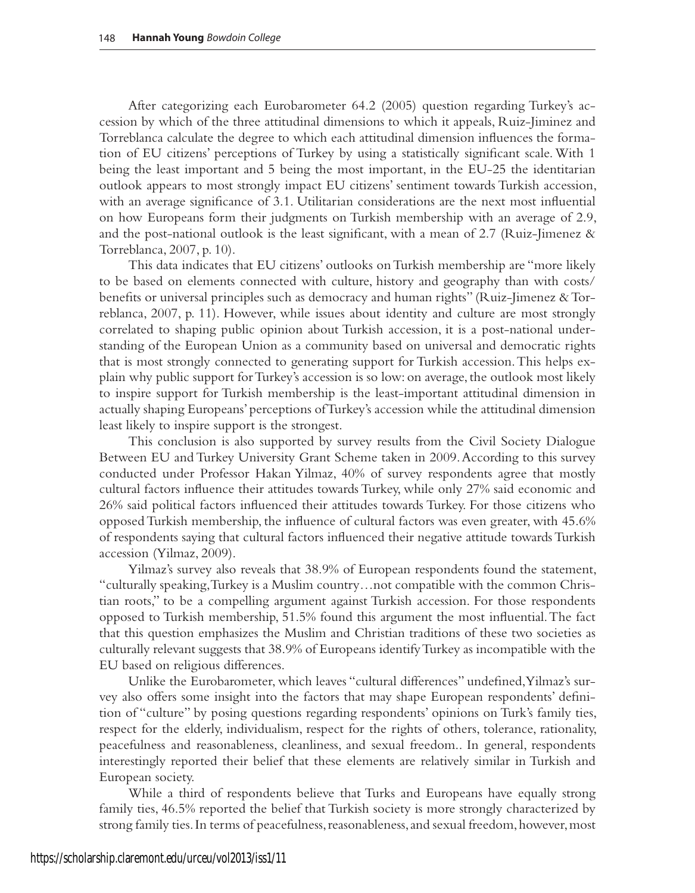After categorizing each Eurobarometer 64.2 (2005) question regarding Turkey's accession by which of the three attitudinal dimensions to which it appeals, Ruiz-Jiminez and Torreblanca calculate the degree to which each attitudinal dimension influences the formation of EU citizens' perceptions of Turkey by using a statistically significant scale. With 1 being the least important and 5 being the most important, in the EU-25 the identitarian outlook appears to most strongly impact EU citizens' sentiment towards Turkish accession, with an average significance of 3.1. Utilitarian considerations are the next most influential on how Europeans form their judgments on Turkish membership with an average of 2.9, and the post-national outlook is the least significant, with a mean of 2.7 (Ruiz-Jimenez  $\&$ Torreblanca, 2007, p. 10).

This data indicates that EU citizens' outlooks on Turkish membership are "more likely to be based on elements connected with culture, history and geography than with costs/ benefits or universal principles such as democracy and human rights" (Ruiz-Jimenez & Torreblanca, 2007, p. 11). However, while issues about identity and culture are most strongly correlated to shaping public opinion about Turkish accession, it is a post-national understanding of the European Union as a community based on universal and democratic rights that is most strongly connected to generating support for Turkish accession. This helps explain why public support for Turkey's accession is so low: on average, the outlook most likely to inspire support for Turkish membership is the least-important attitudinal dimension in actually shaping Europeans' perceptions of Turkey's accession while the attitudinal dimension least likely to inspire support is the strongest.

This conclusion is also supported by survey results from the Civil Society Dialogue Between EU and Turkey University Grant Scheme taken in 2009. According to this survey conducted under Professor Hakan Yilmaz, 40% of survey respondents agree that mostly cultural factors influence their attitudes towards Turkey, while only 27% said economic and 26% said political factors influenced their attitudes towards Turkey. For those citizens who opposed Turkish membership, the influence of cultural factors was even greater, with 45.6% of respondents saying that cultural factors influenced their negative attitude towards Turkish accession (Yilmaz, 2009).

Yilmaz's survey also reveals that 38.9% of European respondents found the statement, "culturally speaking, Turkey is a Muslim country…not compatible with the common Christian roots," to be a compelling argument against Turkish accession. For those respondents opposed to Turkish membership, 51.5% found this argument the most influential. The fact that this question emphasizes the Muslim and Christian traditions of these two societies as culturally relevant suggests that 38.9% of Europeans identify Turkey as incompatible with the EU based on religious differences.

Unlike the Eurobarometer, which leaves "cultural differences" undefined, Yilmaz's survey also offers some insight into the factors that may shape European respondents' definition of "culture" by posing questions regarding respondents' opinions on Turk's family ties, respect for the elderly, individualism, respect for the rights of others, tolerance, rationality, peacefulness and reasonableness, cleanliness, and sexual freedom.. In general, respondents interestingly reported their belief that these elements are relatively similar in Turkish and European society.

While a third of respondents believe that Turks and Europeans have equally strong family ties, 46.5% reported the belief that Turkish society is more strongly characterized by strong family ties. In terms of peacefulness, reasonableness, and sexual freedom, however, most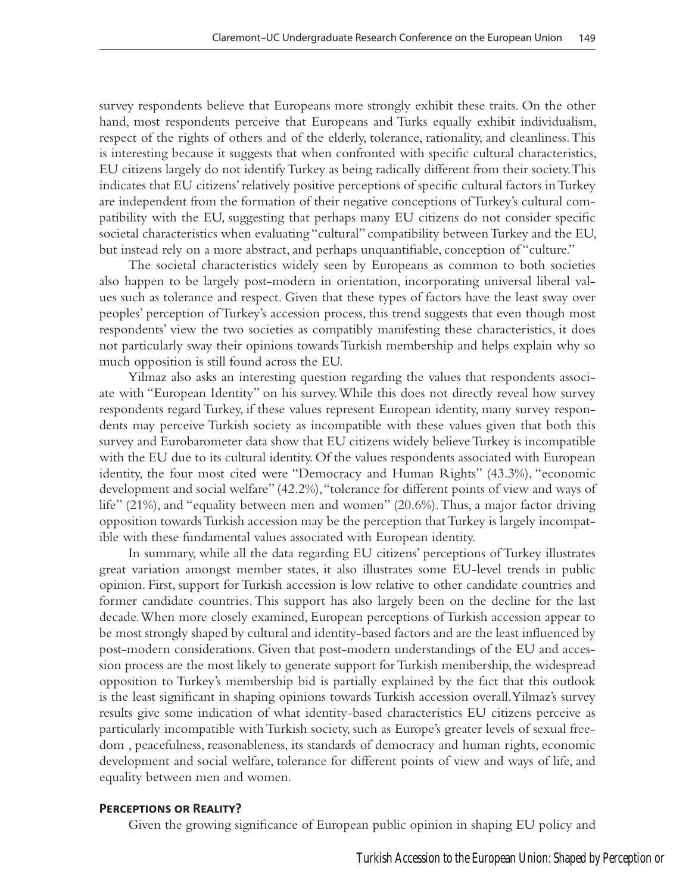survey respondents believe that Europeans more strongly exhibit these traits. On the other hand, most respondents perceive that Europeans and Turks equally exhibit individualism, respect of the rights of others and of the elderly, tolerance, rationality, and cleanliness. This is interesting because it suggests that when confronted with specific cultural characteristics, EU citizens largely do not identify Turkey as being radically different from their society. This indicates that EU citizens' relatively positive perceptions of specific cultural factors in Turkey are independent from the formation of their negative conceptions of Turkey's cultural compatibility with the EU, suggesting that perhaps many EU citizens do not consider specific societal characteristics when evaluating "cultural" compatibility between Turkey and the EU, but instead rely on a more abstract, and perhaps unquantifiable, conception of "culture."

The societal characteristics widely seen by Europeans as common to both societies also happen to be largely post-modern in orientation, incorporating universal liberal values such as tolerance and respect. Given that these types of factors have the least sway over peoples' perception of Turkey's accession process, this trend suggests that even though most respondents' view the two societies as compatibly manifesting these characteristics, it does not particularly sway their opinions towards Turkish membership and helps explain why so much opposition is still found across the EU.

Yilmaz also asks an interesting question regarding the values that respondents associate with "European Identity" on his survey. While this does not directly reveal how survey respondents regard Turkey, if these values represent European identity, many survey respondents may perceive Turkish society as incompatible with these values given that both this survey and Eurobarometer data show that EU citizens widely believe Turkey is incompatible with the EU due to its cultural identity. Of the values respondents associated with European identity, the four most cited were "Democracy and Human Rights" (43.3%), "economic development and social welfare" (42.2%), "tolerance for different points of view and ways of life" (21%), and "equality between men and women" (20.6%). Thus, a major factor driving opposition towards Turkish accession may be the perception that Turkey is largely incompatible with these fundamental values associated with European identity.

In summary, while all the data regarding EU citizens' perceptions of Turkey illustrates great variation amongst member states, it also illustrates some EU-level trends in public opinion. First, support for Turkish accession is low relative to other candidate countries and former candidate countries. This support has also largely been on the decline for the last decade. When more closely examined, European perceptions of Turkish accession appear to be most strongly shaped by cultural and identity-based factors and are the least influenced by post-modern considerations. Given that post-modern understandings of the EU and accession process are the most likely to generate support for Turkish membership, the widespread opposition to Turkey's membership bid is partially explained by the fact that this outlook is the least significant in shaping opinions towards Turkish accession overall. Yilmaz's survey results give some indication of what identity-based characteristics EU citizens perceive as particularly incompatible with Turkish society, such as Europe's greater levels of sexual freedom , peacefulness, reasonableness, its standards of democracy and human rights, economic development and social welfare, tolerance for different points of view and ways of life, and equality between men and women.

#### **Perceptions or Reality?**

Given the growing significance of European public opinion in shaping EU policy and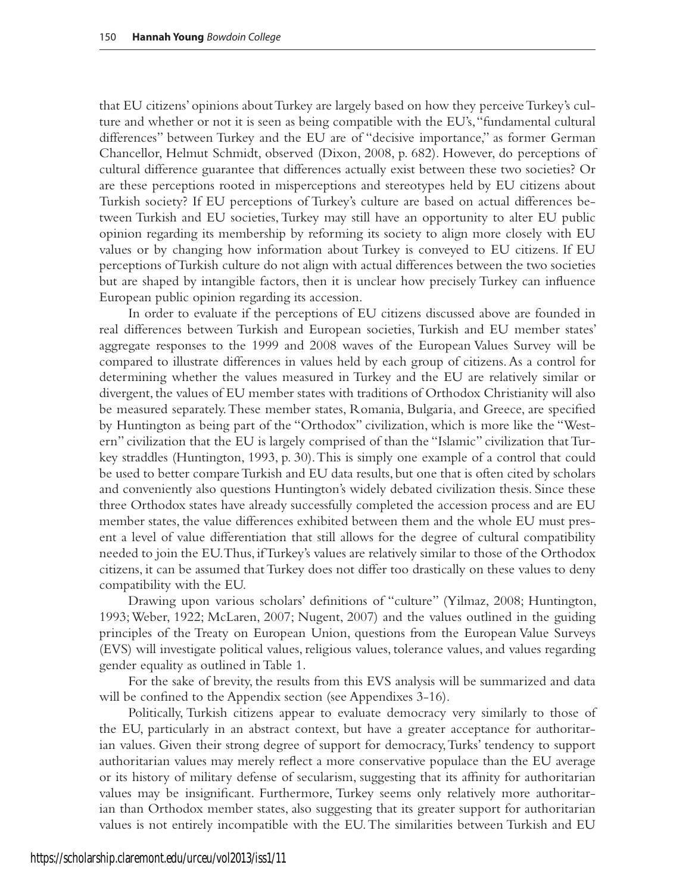that EU citizens' opinions about Turkey are largely based on how they perceive Turkey's culture and whether or not it is seen as being compatible with the EU's, "fundamental cultural differences" between Turkey and the EU are of "decisive importance," as former German Chancellor, Helmut Schmidt, observed (Dixon, 2008, p. 682). However, do perceptions of cultural difference guarantee that differences actually exist between these two societies? Or are these perceptions rooted in misperceptions and stereotypes held by EU citizens about Turkish society? If EU perceptions of Turkey's culture are based on actual differences between Turkish and EU societies, Turkey may still have an opportunity to alter EU public opinion regarding its membership by reforming its society to align more closely with EU values or by changing how information about Turkey is conveyed to EU citizens. If EU perceptions of Turkish culture do not align with actual differences between the two societies but are shaped by intangible factors, then it is unclear how precisely Turkey can influence European public opinion regarding its accession.

In order to evaluate if the perceptions of EU citizens discussed above are founded in real differences between Turkish and European societies, Turkish and EU member states' aggregate responses to the 1999 and 2008 waves of the European Values Survey will be compared to illustrate differences in values held by each group of citizens. As a control for determining whether the values measured in Turkey and the EU are relatively similar or divergent, the values of EU member states with traditions of Orthodox Christianity will also be measured separately. These member states, Romania, Bulgaria, and Greece, are specified by Huntington as being part of the "Orthodox" civilization, which is more like the "Western" civilization that the EU is largely comprised of than the "Islamic" civilization that Turkey straddles (Huntington, 1993, p. 30). This is simply one example of a control that could be used to better compare Turkish and EU data results, but one that is often cited by scholars and conveniently also questions Huntington's widely debated civilization thesis. Since these three Orthodox states have already successfully completed the accession process and are EU member states, the value differences exhibited between them and the whole EU must present a level of value differentiation that still allows for the degree of cultural compatibility needed to join the EU. Thus, if Turkey's values are relatively similar to those of the Orthodox citizens, it can be assumed that Turkey does not differ too drastically on these values to deny compatibility with the EU.

Drawing upon various scholars' definitions of "culture" (Yilmaz, 2008; Huntington, 1993; Weber, 1922; McLaren, 2007; Nugent, 2007) and the values outlined in the guiding principles of the Treaty on European Union, questions from the European Value Surveys (EVS) will investigate political values, religious values, tolerance values, and values regarding gender equality as outlined in Table 1.

For the sake of brevity, the results from this EVS analysis will be summarized and data will be confined to the Appendix section (see Appendixes 3-16).

Politically, Turkish citizens appear to evaluate democracy very similarly to those of the EU, particularly in an abstract context, but have a greater acceptance for authoritarian values. Given their strong degree of support for democracy, Turks' tendency to support authoritarian values may merely reflect a more conservative populace than the EU average or its history of military defense of secularism, suggesting that its affinity for authoritarian values may be insignificant. Furthermore, Turkey seems only relatively more authoritarian than Orthodox member states, also suggesting that its greater support for authoritarian values is not entirely incompatible with the EU. The similarities between Turkish and EU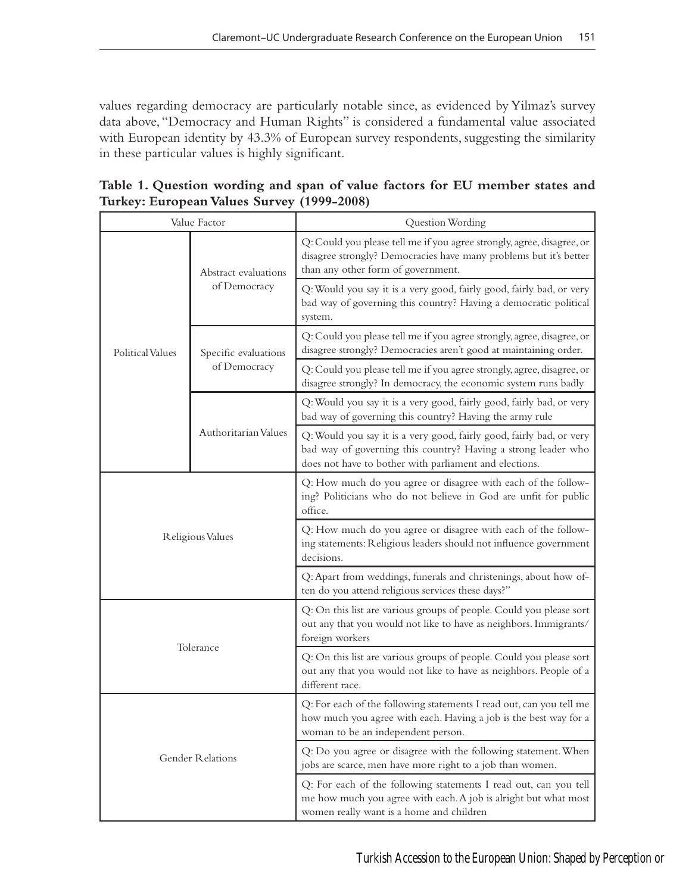values regarding democracy are particularly notable since, as evidenced by Yilmaz's survey data above, "Democracy and Human Rights" is considered a fundamental value associated with European identity by 43.3% of European survey respondents, suggesting the similarity in these particular values is highly significant.

**Table 1. Question wording and span of value factors for EU member states and Turkey: European Values Survey (1999-2008)**

| Value Factor            |                      | Question Wording                                                                                                                                                                                |
|-------------------------|----------------------|-------------------------------------------------------------------------------------------------------------------------------------------------------------------------------------------------|
|                         | Abstract evaluations | Q: Could you please tell me if you agree strongly, agree, disagree, or<br>disagree strongly? Democracies have many problems but it's better<br>than any other form of government.               |
|                         | of Democracy         | Q: Would you say it is a very good, fairly good, fairly bad, or very<br>bad way of governing this country? Having a democratic political<br>system.                                             |
| Political Values        | Specific evaluations | Q: Could you please tell me if you agree strongly, agree, disagree, or<br>disagree strongly? Democracies aren't good at maintaining order.                                                      |
|                         | of Democracy         | Q: Could you please tell me if you agree strongly, agree, disagree, or<br>disagree strongly? In democracy, the economic system runs badly                                                       |
|                         |                      | Q: Would you say it is a very good, fairly good, fairly bad, or very<br>bad way of governing this country? Having the army rule                                                                 |
|                         | Authoritarian Values | Q: Would you say it is a very good, fairly good, fairly bad, or very<br>bad way of governing this country? Having a strong leader who<br>does not have to bother with parliament and elections. |
| Religious Values        |                      | Q: How much do you agree or disagree with each of the follow-<br>ing? Politicians who do not believe in God are unfit for public<br>office.                                                     |
|                         |                      | Q: How much do you agree or disagree with each of the follow-<br>ing statements: Religious leaders should not influence government<br>decisions.                                                |
|                         |                      | Q: Apart from weddings, funerals and christenings, about how of-<br>ten do you attend religious services these days?"                                                                           |
| Tolerance               |                      | Q: On this list are various groups of people. Could you please sort<br>out any that you would not like to have as neighbors. Immigrants/<br>foreign workers                                     |
|                         |                      | Q: On this list are various groups of people. Could you please sort<br>out any that you would not like to have as neighbors. People of a<br>different race.                                     |
| <b>Gender Relations</b> |                      | Q: For each of the following statements I read out, can you tell me<br>how much you agree with each. Having a job is the best way for a<br>woman to be an independent person.                   |
|                         |                      | Q: Do you agree or disagree with the following statement. When<br>jobs are scarce, men have more right to a job than women.                                                                     |
|                         |                      | Q: For each of the following statements I read out, can you tell<br>me how much you agree with each. A job is alright but what most<br>women really want is a home and children                 |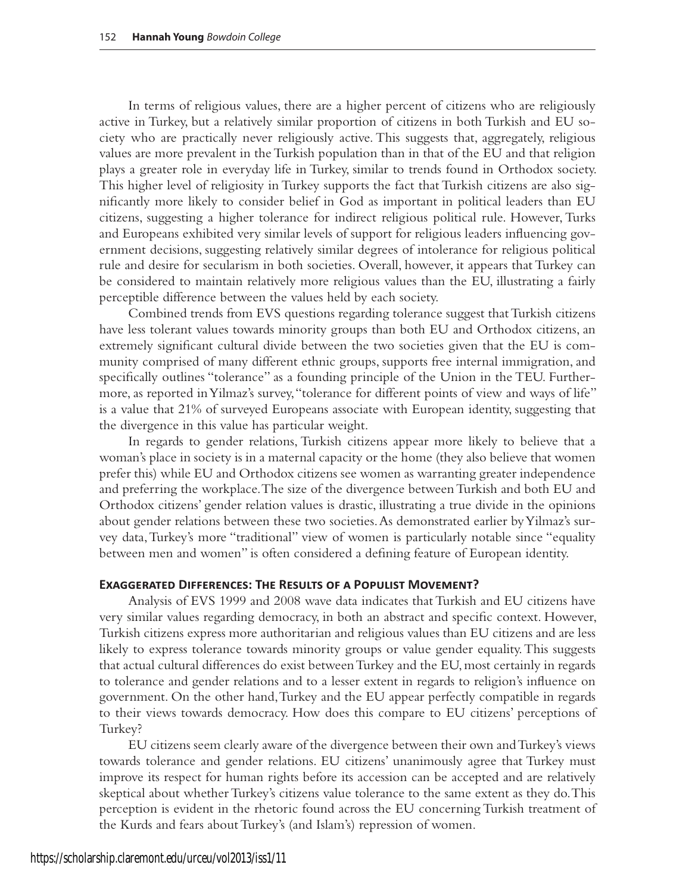In terms of religious values, there are a higher percent of citizens who are religiously active in Turkey, but a relatively similar proportion of citizens in both Turkish and EU society who are practically never religiously active. This suggests that, aggregately, religious values are more prevalent in the Turkish population than in that of the EU and that religion plays a greater role in everyday life in Turkey, similar to trends found in Orthodox society. This higher level of religiosity in Turkey supports the fact that Turkish citizens are also significantly more likely to consider belief in God as important in political leaders than EU citizens, suggesting a higher tolerance for indirect religious political rule. However, Turks and Europeans exhibited very similar levels of support for religious leaders influencing government decisions, suggesting relatively similar degrees of intolerance for religious political rule and desire for secularism in both societies. Overall, however, it appears that Turkey can be considered to maintain relatively more religious values than the EU, illustrating a fairly perceptible difference between the values held by each society.

Combined trends from EVS questions regarding tolerance suggest that Turkish citizens have less tolerant values towards minority groups than both EU and Orthodox citizens, an extremely significant cultural divide between the two societies given that the EU is community comprised of many different ethnic groups, supports free internal immigration, and specifically outlines "tolerance" as a founding principle of the Union in the TEU. Furthermore, as reported in Yilmaz's survey, "tolerance for different points of view and ways of life" is a value that 21% of surveyed Europeans associate with European identity, suggesting that the divergence in this value has particular weight.

In regards to gender relations, Turkish citizens appear more likely to believe that a woman's place in society is in a maternal capacity or the home (they also believe that women prefer this) while EU and Orthodox citizens see women as warranting greater independence and preferring the workplace. The size of the divergence between Turkish and both EU and Orthodox citizens' gender relation values is drastic, illustrating a true divide in the opinions about gender relations between these two societies. As demonstrated earlier by Yilmaz's survey data, Turkey's more "traditional" view of women is particularly notable since "equality between men and women" is often considered a defining feature of European identity.

#### **Exaggerated Differences: The Results of a Populist Movement?**

Analysis of EVS 1999 and 2008 wave data indicates that Turkish and EU citizens have very similar values regarding democracy, in both an abstract and specific context. However, Turkish citizens express more authoritarian and religious values than EU citizens and are less likely to express tolerance towards minority groups or value gender equality. This suggests that actual cultural differences do exist between Turkey and the EU, most certainly in regards to tolerance and gender relations and to a lesser extent in regards to religion's influence on government. On the other hand, Turkey and the EU appear perfectly compatible in regards to their views towards democracy. How does this compare to EU citizens' perceptions of Turkey?

EU citizens seem clearly aware of the divergence between their own and Turkey's views towards tolerance and gender relations. EU citizens' unanimously agree that Turkey must improve its respect for human rights before its accession can be accepted and are relatively skeptical about whether Turkey's citizens value tolerance to the same extent as they do. This perception is evident in the rhetoric found across the EU concerning Turkish treatment of the Kurds and fears about Turkey's (and Islam's) repression of women.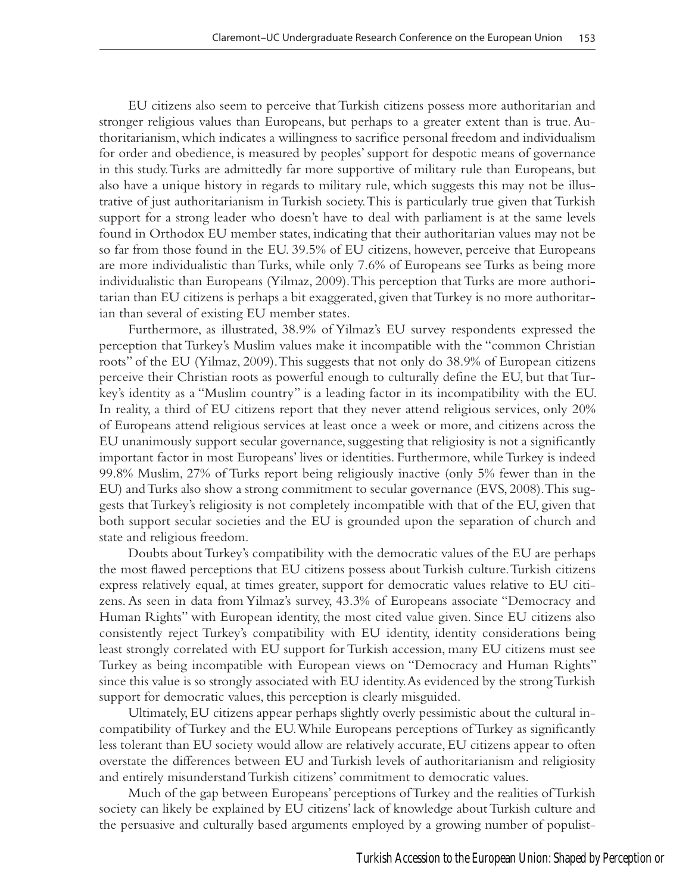EU citizens also seem to perceive that Turkish citizens possess more authoritarian and stronger religious values than Europeans, but perhaps to a greater extent than is true. Authoritarianism, which indicates a willingness to sacrifice personal freedom and individualism for order and obedience, is measured by peoples' support for despotic means of governance in this study. Turks are admittedly far more supportive of military rule than Europeans, but also have a unique history in regards to military rule, which suggests this may not be illustrative of just authoritarianism in Turkish society. This is particularly true given that Turkish support for a strong leader who doesn't have to deal with parliament is at the same levels found in Orthodox EU member states, indicating that their authoritarian values may not be so far from those found in the EU. 39.5% of EU citizens, however, perceive that Europeans are more individualistic than Turks, while only 7.6% of Europeans see Turks as being more individualistic than Europeans (Yilmaz, 2009). This perception that Turks are more authoritarian than EU citizens is perhaps a bit exaggerated, given that Turkey is no more authoritarian than several of existing EU member states.

Furthermore, as illustrated, 38.9% of Yilmaz's EU survey respondents expressed the perception that Turkey's Muslim values make it incompatible with the "common Christian roots" of the EU (Yilmaz, 2009). This suggests that not only do 38.9% of European citizens perceive their Christian roots as powerful enough to culturally define the EU, but that Turkey's identity as a "Muslim country" is a leading factor in its incompatibility with the EU. In reality, a third of EU citizens report that they never attend religious services, only 20% of Europeans attend religious services at least once a week or more, and citizens across the EU unanimously support secular governance, suggesting that religiosity is not a significantly important factor in most Europeans' lives or identities. Furthermore, while Turkey is indeed 99.8% Muslim, 27% of Turks report being religiously inactive (only 5% fewer than in the EU) and Turks also show a strong commitment to secular governance (EVS, 2008). This suggests that Turkey's religiosity is not completely incompatible with that of the EU, given that both support secular societies and the EU is grounded upon the separation of church and state and religious freedom.

Doubts about Turkey's compatibility with the democratic values of the EU are perhaps the most flawed perceptions that EU citizens possess about Turkish culture. Turkish citizens express relatively equal, at times greater, support for democratic values relative to EU citizens. As seen in data from Yilmaz's survey, 43.3% of Europeans associate "Democracy and Human Rights" with European identity, the most cited value given. Since EU citizens also consistently reject Turkey's compatibility with EU identity, identity considerations being least strongly correlated with EU support for Turkish accession, many EU citizens must see Turkey as being incompatible with European views on "Democracy and Human Rights" since this value is so strongly associated with EU identity. As evidenced by the strong Turkish support for democratic values, this perception is clearly misguided.

Ultimately, EU citizens appear perhaps slightly overly pessimistic about the cultural incompatibility of Turkey and the EU. While Europeans perceptions of Turkey as significantly less tolerant than EU society would allow are relatively accurate, EU citizens appear to often overstate the differences between EU and Turkish levels of authoritarianism and religiosity and entirely misunderstand Turkish citizens' commitment to democratic values.

Much of the gap between Europeans' perceptions of Turkey and the realities of Turkish society can likely be explained by EU citizens' lack of knowledge about Turkish culture and the persuasive and culturally based arguments employed by a growing number of populist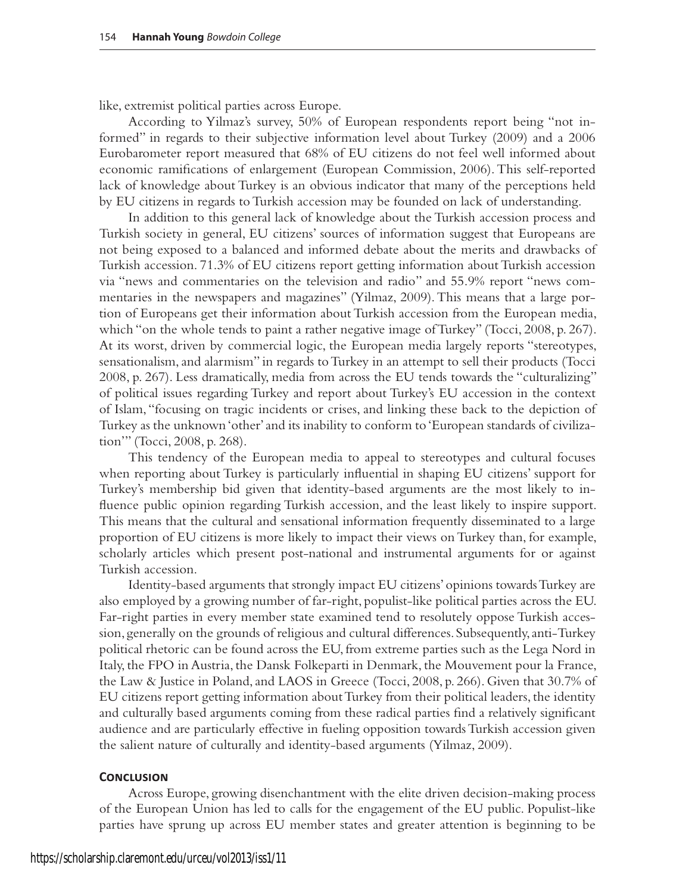like, extremist political parties across Europe.

According to Yilmaz's survey, 50% of European respondents report being "not informed" in regards to their subjective information level about Turkey (2009) and a 2006 Eurobarometer report measured that 68% of EU citizens do not feel well informed about economic ramifications of enlargement (European Commission, 2006). This self-reported lack of knowledge about Turkey is an obvious indicator that many of the perceptions held by EU citizens in regards to Turkish accession may be founded on lack of understanding.

In addition to this general lack of knowledge about the Turkish accession process and Turkish society in general, EU citizens' sources of information suggest that Europeans are not being exposed to a balanced and informed debate about the merits and drawbacks of Turkish accession. 71.3% of EU citizens report getting information about Turkish accession via "news and commentaries on the television and radio" and 55.9% report "news commentaries in the newspapers and magazines" (Yilmaz, 2009). This means that a large portion of Europeans get their information about Turkish accession from the European media, which "on the whole tends to paint a rather negative image of Turkey" (Tocci, 2008, p. 267). At its worst, driven by commercial logic, the European media largely reports "stereotypes, sensationalism, and alarmism" in regards to Turkey in an attempt to sell their products (Tocci 2008, p. 267). Less dramatically, media from across the EU tends towards the "culturalizing" of political issues regarding Turkey and report about Turkey's EU accession in the context of Islam, "focusing on tragic incidents or crises, and linking these back to the depiction of Turkey as the unknown 'other' and its inability to conform to 'European standards of civilization'" (Tocci, 2008, p. 268).

This tendency of the European media to appeal to stereotypes and cultural focuses when reporting about Turkey is particularly influential in shaping EU citizens' support for Turkey's membership bid given that identity-based arguments are the most likely to influence public opinion regarding Turkish accession, and the least likely to inspire support. This means that the cultural and sensational information frequently disseminated to a large proportion of EU citizens is more likely to impact their views on Turkey than, for example, scholarly articles which present post-national and instrumental arguments for or against Turkish accession.

Identity-based arguments that strongly impact EU citizens' opinions towards Turkey are also employed by a growing number of far-right, populist-like political parties across the EU. Far-right parties in every member state examined tend to resolutely oppose Turkish accession, generally on the grounds of religious and cultural differences. Subsequently, anti-Turkey political rhetoric can be found across the EU, from extreme parties such as the Lega Nord in Italy, the FPO in Austria, the Dansk Folkeparti in Denmark, the Mouvement pour la France, the Law & Justice in Poland, and LAOS in Greece (Tocci, 2008, p. 266). Given that 30.7% of EU citizens report getting information about Turkey from their political leaders, the identity and culturally based arguments coming from these radical parties find a relatively significant audience and are particularly effective in fueling opposition towards Turkish accession given the salient nature of culturally and identity-based arguments (Yilmaz, 2009).

#### **Conclusion**

Across Europe, growing disenchantment with the elite driven decision-making process of the European Union has led to calls for the engagement of the EU public. Populist-like parties have sprung up across EU member states and greater attention is beginning to be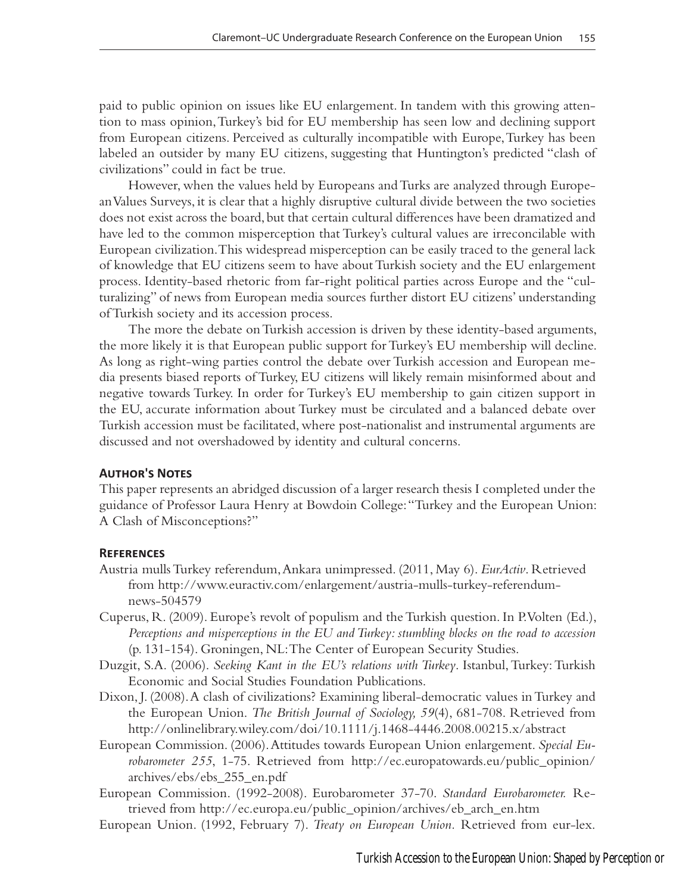paid to public opinion on issues like EU enlargement. In tandem with this growing attention to mass opinion, Turkey's bid for EU membership has seen low and declining support from European citizens. Perceived as culturally incompatible with Europe, Turkey has been labeled an outsider by many EU citizens, suggesting that Huntington's predicted "clash of civilizations" could in fact be true.

However, when the values held by Europeans and Turks are analyzed through European Values Surveys, it is clear that a highly disruptive cultural divide between the two societies does not exist across the board, but that certain cultural differences have been dramatized and have led to the common misperception that Turkey's cultural values are irreconcilable with European civilization. This widespread misperception can be easily traced to the general lack of knowledge that EU citizens seem to have about Turkish society and the EU enlargement process. Identity-based rhetoric from far-right political parties across Europe and the "culturalizing" of news from European media sources further distort EU citizens' understanding of Turkish society and its accession process.

The more the debate on Turkish accession is driven by these identity-based arguments, the more likely it is that European public support for Turkey's EU membership will decline. As long as right-wing parties control the debate over Turkish accession and European media presents biased reports of Turkey, EU citizens will likely remain misinformed about and negative towards Turkey. In order for Turkey's EU membership to gain citizen support in the EU, accurate information about Turkey must be circulated and a balanced debate over Turkish accession must be facilitated, where post-nationalist and instrumental arguments are discussed and not overshadowed by identity and cultural concerns.

#### **Author's Notes**

This paper represents an abridged discussion of a larger research thesis I completed under the guidance of Professor Laura Henry at Bowdoin College: "Turkey and the European Union: A Clash of Misconceptions?"

#### **References**

- Austria mulls Turkey referendum, Ankara unimpressed. (2011, May 6). *EurActiv*. Retrieved from http://www.euractiv.com/enlargement/austria-mulls-turkey-referendumnews-504579
- Cuperus, R. (2009). Europe's revolt of populism and the Turkish question. In P. Volten (Ed.), *Perceptions and misperceptions in the EU and Turkey: stumbling blocks on the road to accession* (p. 131-154). Groningen, NL: The Center of European Security Studies.
- Duzgit, S.A. (2006). *Seeking Kant in the EU's relations with Turkey*. Istanbul, Turkey: Turkish Economic and Social Studies Foundation Publications.
- Dixon, J. (2008). A clash of civilizations? Examining liberal-democratic values in Turkey and the European Union. *The British Journal of Sociology, 59*(4), 681-708. Retrieved from http://onlinelibrary.wiley.com/doi/10.1111/j.1468-4446.2008.00215.x/abstract
- European Commission. (2006). Attitudes towards European Union enlargement. *Special Eurobarometer 255*, 1-75. Retrieved from http://ec.europatowards.eu/public\_opinion/ archives/ebs/ebs\_255\_en.pdf
- European Commission. (1992-2008). Eurobarometer 37-70. *Standard Eurobarometer.* Retrieved from http://ec.europa.eu/public\_opinion/archives/eb\_arch\_en.htm
- European Union. (1992, February 7). *Treaty on European Union.* Retrieved from eur-lex.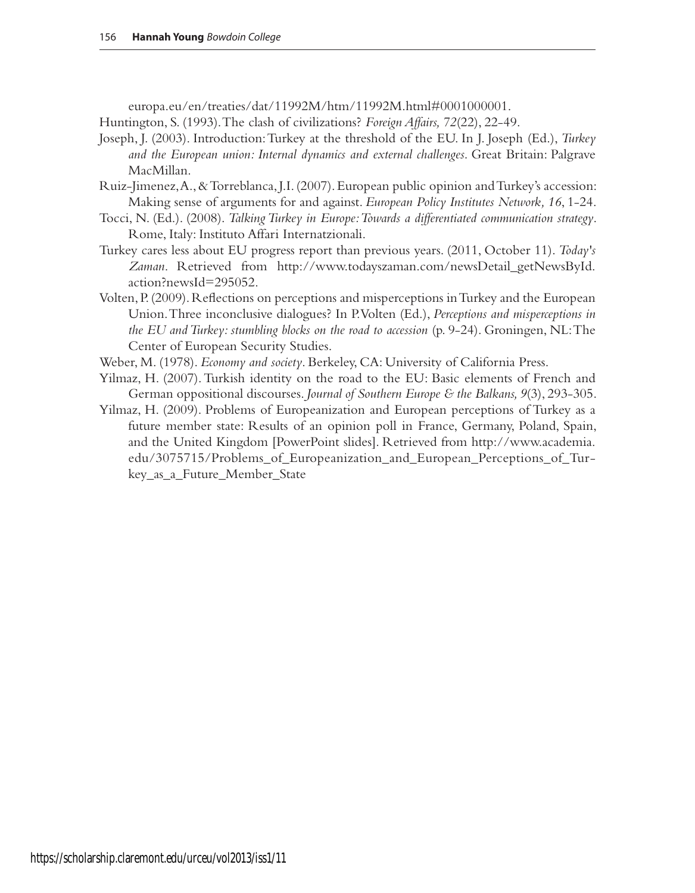europa.eu/en/treaties/dat/11992M/htm/11992M.html#0001000001.

Huntington, S. (1993). The clash of civilizations? *Foreign Affairs, 72*(22), 22-49.

- Joseph, J. (2003). Introduction: Turkey at the threshold of the EU. In J. Joseph (Ed.), *Turkey and the European union: Internal dynamics and external challenges*. Great Britain: Palgrave MacMillan.
- Ruiz-Jimenez, A., & Torreblanca, J.I. (2007). European public opinion and Turkey's accession: Making sense of arguments for and against. *European Policy Institutes Network, 16*, 1-24.
- Tocci, N. (Ed.). (2008). *Talking Turkey in Europe: Towards a differentiated communication strategy*. Rome, Italy: Instituto Affari Internatzionali.
- Turkey cares less about EU progress report than previous years. (2011, October 11). *Today's Zaman*. Retrieved from http://www.todayszaman.com/newsDetail\_getNewsById. action?newsId=295052.
- Volten, P. (2009). Reflections on perceptions and misperceptions in Turkey and the European Union. Three inconclusive dialogues? In P. Volten (Ed.), *Perceptions and misperceptions in the EU and Turkey: stumbling blocks on the road to accession* (p. 9-24). Groningen, NL: The Center of European Security Studies.
- Weber, M. (1978). *Economy and society*. Berkeley, CA: University of California Press.
- Yilmaz, H. (2007). Turkish identity on the road to the EU: Basic elements of French and German oppositional discourses. *Journal of Southern Europe & the Balkans, 9*(3), 293-305.
- Yilmaz, H. (2009). Problems of Europeanization and European perceptions of Turkey as a future member state: Results of an opinion poll in France, Germany, Poland, Spain, and the United Kingdom [PowerPoint slides]. Retrieved from http://www.academia. edu/3075715/Problems\_of\_Europeanization\_and\_European\_Perceptions\_of\_Turkey\_as\_a\_Future\_Member\_State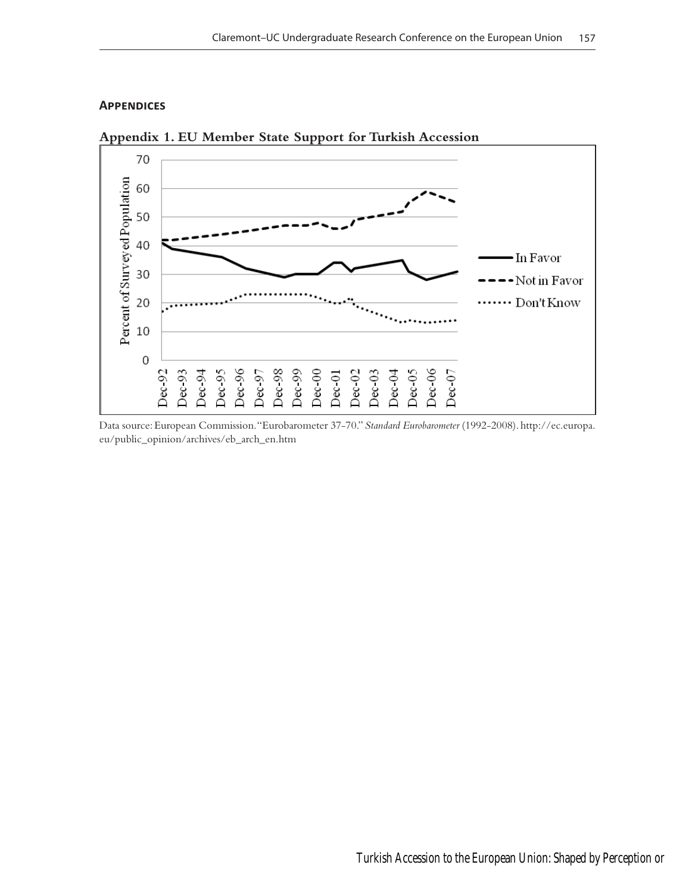#### **Appendices**



**Appendix 1. EU Member State Support for Turkish Accession**

Data source: European Commission. "Eurobarometer 37-70." *Standard Eurobarometer* (1992-2008). http://ec.europa. eu/public\_opinion/archives/eb\_arch\_en.htm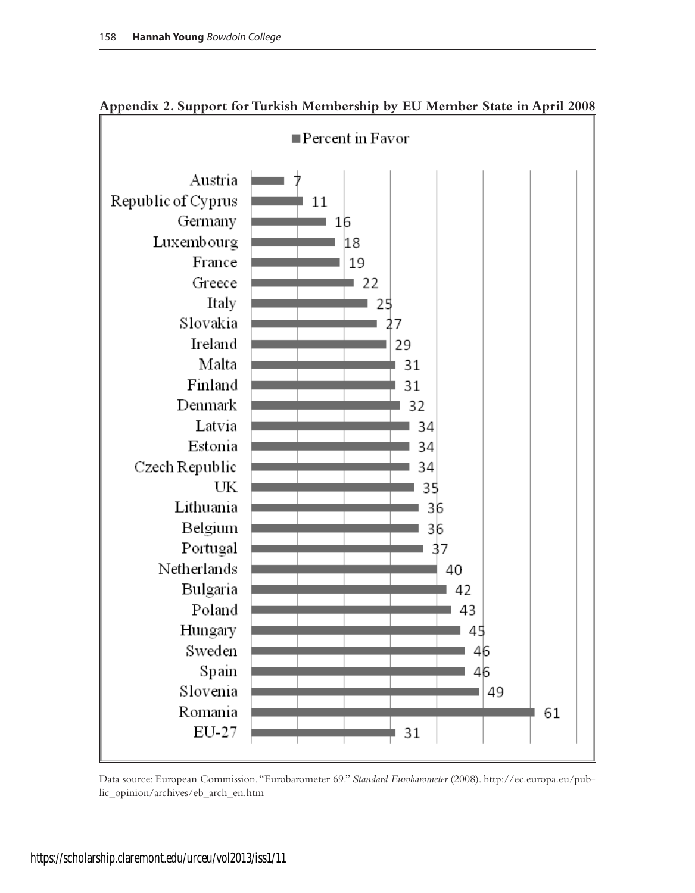

**Appendix 2. Support for Turkish Membership by EU Member State in April 2008**

Data source: European Commission. "Eurobarometer 69." *Standard Eurobarometer* (2008). http://ec.europa.eu/public\_opinion/archives/eb\_arch\_en.htm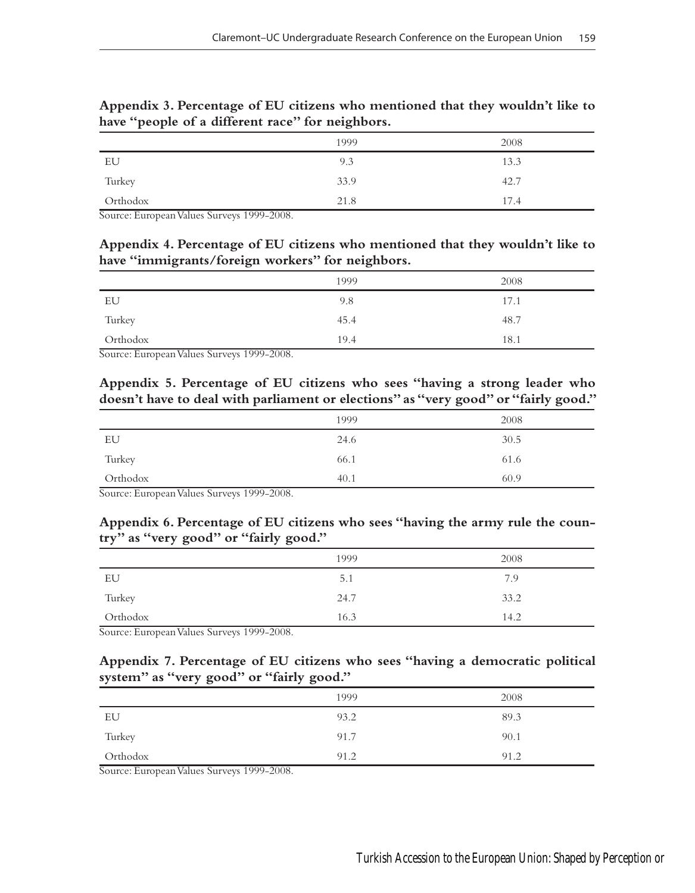|          | 1999 | 2008 |
|----------|------|------|
| EU       | 9.3  | 13.3 |
| Turkey   | 33.9 | 42.7 |
| Orthodox | 21.8 | 17.4 |

#### **Appendix 3. Percentage of EU citizens who mentioned that they wouldn't like to have "people of a different race" for neighbors.**

Source: European Values Surveys 1999-2008.

## **Appendix 4. Percentage of EU citizens who mentioned that they wouldn't like to have "immigrants/foreign workers" for neighbors.**

|          | 1999 | 2008 |
|----------|------|------|
| EU       | 9.8  | 17.1 |
| Turkey   | 45.4 | 48.7 |
| Orthodox | 19.4 | 18.1 |

Source: European Values Surveys 1999-2008.

# **Appendix 5. Percentage of EU citizens who sees "having a strong leader who doesn't have to deal with parliament or elections" as "very good" or "fairly good."**

|          | 1999 | 2008 |
|----------|------|------|
| EU       | 24.6 | 30.5 |
| Turkey   | 66.1 | 61.6 |
| Orthodox | 40.1 | 60.9 |

Source: European Values Surveys 1999-2008.

# **Appendix 6. Percentage of EU citizens who sees "having the army rule the country" as "very good" or "fairly good."**

|          | 1999 | 2008 |
|----------|------|------|
| EU       | 5.1  | 7.9  |
| Turkey   | 24.7 | 33.2 |
| Orthodox | 16.3 | 14.2 |

Source: European Values Surveys 1999-2008.

#### **Appendix 7. Percentage of EU citizens who sees "having a democratic political system" as "very good" or "fairly good."**

|                 | 1999 | 2008 |
|-----------------|------|------|
| EU              | 93.2 | 89.3 |
| Turkey          | 91.7 | 90.1 |
| Orthodox<br>___ | 91.2 | 91.2 |

Source: European Values Surveys 1999-2008.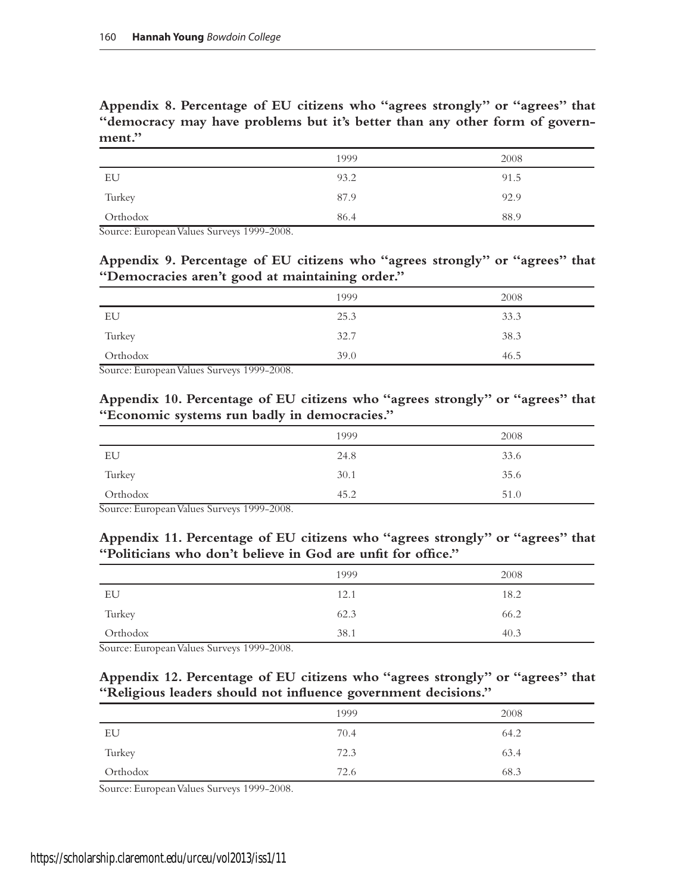|          | 1999 | 2008 |
|----------|------|------|
| EU       | 93.2 | 91.5 |
| Turkey   | 87.9 | 92.9 |
| Orthodox | 86.4 | 88.9 |

**Appendix 8. Percentage of EU citizens who "agrees strongly" or "agrees" that "democracy may have problems but it's better than any other form of government."**

Source: European Values Surveys 1999-2008.

#### **Appendix 9. Percentage of EU citizens who "agrees strongly" or "agrees" that "Democracies aren't good at maintaining order."**

|                                                                                                                                                                                                                                                   | 1999 | 2008 |
|---------------------------------------------------------------------------------------------------------------------------------------------------------------------------------------------------------------------------------------------------|------|------|
| EU                                                                                                                                                                                                                                                | 25.3 | 33.3 |
| Turkey                                                                                                                                                                                                                                            | 32.7 | 38.3 |
| Orthodox<br>____<br>the control of the control of the control of the control of the control of the control of the control of the control of the control of the control of the control of the control of the control of the control of the control | 39.0 | 46.5 |

Source: European Values Surveys 1999-2008.

## **Appendix 10. Percentage of EU citizens who "agrees strongly" or "agrees" that "Economic systems run badly in democracies."**

|          | 1999 | 2008 |
|----------|------|------|
| EU       | 24.8 | 33.6 |
| Turkey   | 30.1 | 35.6 |
| Orthodox | 45.2 | 51.0 |

Source: European Values Surveys 1999-2008.

#### **Appendix 11. Percentage of EU citizens who "agrees strongly" or "agrees" that "Politicians who don't believe in God are unfit for office."**

|          | 1999 | 2008 |
|----------|------|------|
| EU       | 12.1 | 18.2 |
| Turkey   | 62.3 | 66.2 |
| Orthodox | 38.1 | 40.3 |

Source: European Values Surveys 1999-2008.

#### **Appendix 12. Percentage of EU citizens who "agrees strongly" or "agrees" that "Religious leaders should not influence government decisions."**

|          | 1999 | 2008 |
|----------|------|------|
| EU       | 70.4 | 64.2 |
| Turkey   | 72.3 | 63.4 |
| Orthodox | 72.6 | 68.3 |

Source: European Values Surveys 1999-2008.